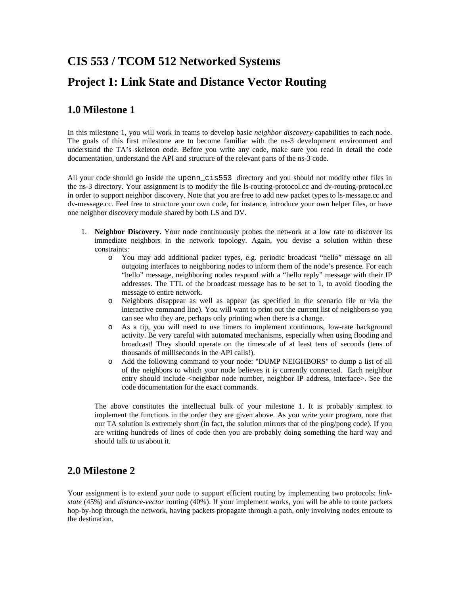# **CIS 553 / TCOM 512 Networked Systems Project 1: Link State and Distance Vector Routing**

### **1.0 Milestone 1**

In this milestone 1, you will work in teams to develop basic *neighbor discovery* capabilities to each node. The goals of this first milestone are to become familiar with the ns-3 development environment and understand the TA's skeleton code. Before you write any code, make sure you read in detail the code documentation, understand the API and structure of the relevant parts of the ns-3 code.

All your code should go inside the upenn\_cis553 directory and you should not modify other files in the ns-3 directory. Your assignment is to modify the file ls-routing-protocol.cc and dv-routing-protocol.cc in order to support neighbor discovery. Note that you are free to add new packet types to ls-message.cc and dv-message.cc. Feel free to structure your own code, for instance, introduce your own helper files, or have one neighbor discovery module shared by both LS and DV.

- 1. **Neighbor Discovery.** Your node continuously probes the network at a low rate to discover its immediate neighbors in the network topology. Again, you devise a solution within these constraints:
	- o You may add additional packet types, e.g. periodic broadcast "hello" message on all outgoing interfaces to neighboring nodes to inform them of the node's presence. For each "hello" message, neighboring nodes respond with a "hello reply" message with their IP addresses. The TTL of the broadcast message has to be set to 1, to avoid flooding the message to entire network.
	- o Neighbors disappear as well as appear (as specified in the scenario file or via the interactive command line). You will want to print out the current list of neighbors so you can see who they are, perhaps only printing when there is a change.
	- o As a tip, you will need to use timers to implement continuous, low-rate background activity. Be very careful with automated mechanisms, especially when using flooding and broadcast! They should operate on the timescale of at least tens of seconds (tens of thousands of milliseconds in the API calls!).
	- o Add the following command to your node: "DUMP NEIGHBORS" to dump a list of all of the neighbors to which your node believes it is currently connected. Each neighbor entry should include <neighbor node number, neighbor IP address, interface>. See the code documentation for the exact commands.

The above constitutes the intellectual bulk of your milestone 1. It is probably simplest to implement the functions in the order they are given above. As you write your program, note that our TA solution is extremely short (in fact, the solution mirrors that of the ping/pong code). If you are writing hundreds of lines of code then you are probably doing something the hard way and should talk to us about it.

### **2.0 Milestone 2**

Your assignment is to extend your node to support efficient routing by implementing two protocols: *linkstate* (45%) and *distance-vector* routing (40%). If your implement works, you will be able to route packets hop-by-hop through the network, having packets propagate through a path, only involving nodes enroute to the destination.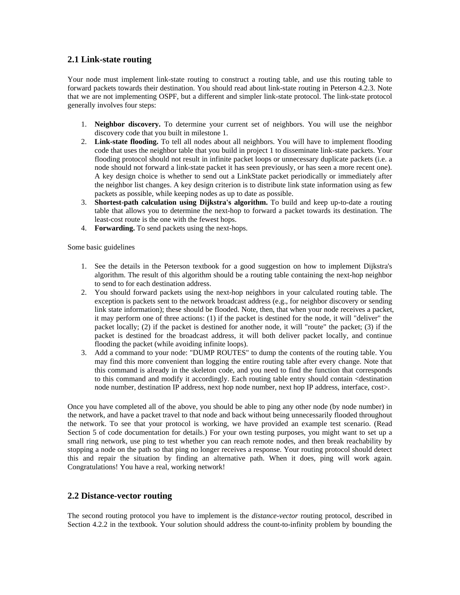#### **2.1 Link-state routing**

Your node must implement link-state routing to construct a routing table, and use this routing table to forward packets towards their destination. You should read about link-state routing in Peterson 4.2.3. Note that we are not implementing OSPF, but a different and simpler link-state protocol. The link-state protocol generally involves four steps:

- 1. **Neighbor discovery.** To determine your current set of neighbors. You will use the neighbor discovery code that you built in milestone 1.
- 2. **Link-state flooding.** To tell all nodes about all neighbors. You will have to implement flooding code that uses the neighbor table that you build in project 1 to disseminate link-state packets. Your flooding protocol should not result in infinite packet loops or unnecessary duplicate packets (i.e. a node should not forward a link-state packet it has seen previously, or has seen a more recent one). A key design choice is whether to send out a LinkState packet periodically or immediately after the neighbor list changes. A key design criterion is to distribute link state information using as few packets as possible, while keeping nodes as up to date as possible.
- 3. **Shortest-path calculation using Dijkstra's algorithm.** To build and keep up-to-date a routing table that allows you to determine the next-hop to forward a packet towards its destination. The least-cost route is the one with the fewest hops.
- 4. **Forwarding.** To send packets using the next-hops.

#### Some basic guidelines

- 1. See the details in the Peterson textbook for a good suggestion on how to implement Dijkstra's algorithm. The result of this algorithm should be a routing table containing the next-hop neighbor to send to for each destination address.
- 2. You should forward packets using the next-hop neighbors in your calculated routing table. The exception is packets sent to the network broadcast address (e.g., for neighbor discovery or sending link state information); these should be flooded. Note, then, that when your node receives a packet, it may perform one of three actions: (1) if the packet is destined for the node, it will "deliver" the packet locally; (2) if the packet is destined for another node, it will "route" the packet; (3) if the packet is destined for the broadcast address, it will both deliver packet locally, and continue flooding the packet (while avoiding infinite loops).
- 3. Add a command to your node: "DUMP ROUTES" to dump the contents of the routing table. You may find this more convenient than logging the entire routing table after every change. Note that this command is already in the skeleton code, and you need to find the function that corresponds to this command and modify it accordingly. Each routing table entry should contain <destination node number, destination IP address, next hop node number, next hop IP address, interface, cost>.

Once you have completed all of the above, you should be able to ping any other node (by node number) in the network, and have a packet travel to that node and back without being unnecessarily flooded throughout the network. To see that your protocol is working, we have provided an example test scenario. (Read Section 5 of code documentation for details.) For your own testing purposes, you might want to set up a small ring network, use ping to test whether you can reach remote nodes, and then break reachability by stopping a node on the path so that ping no longer receives a response. Your routing protocol should detect this and repair the situation by finding an alternative path. When it does, ping will work again. Congratulations! You have a real, working network!

#### **2.2 Distance-vector routing**

The second routing protocol you have to implement is the *distance-vector* routing protocol, described in Section 4.2.2 in the textbook. Your solution should address the count-to-infinity problem by bounding the